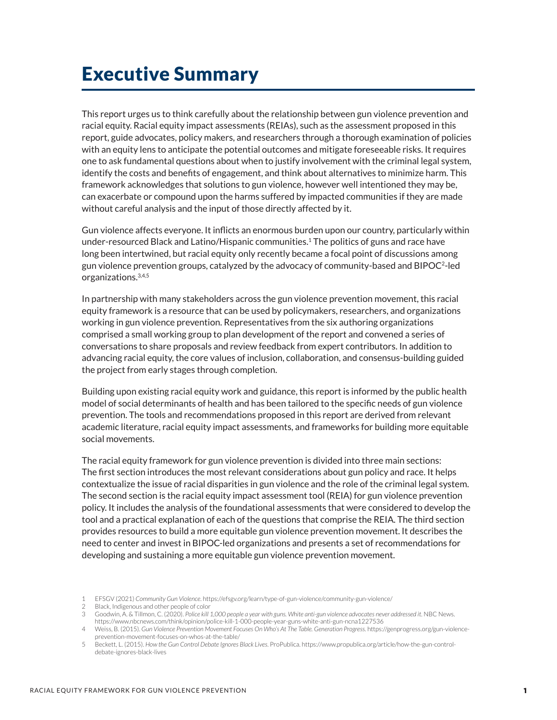# Executive Summary

This report urges us to think carefully about the relationship between gun violence prevention and racial equity. Racial equity impact assessments (REIAs), such as the assessment proposed in this report, guide advocates, policy makers, and researchers through a thorough examination of policies with an equity lens to anticipate the potential outcomes and mitigate foreseeable risks. It requires one to ask fundamental questions about when to justify involvement with the criminal legal system, identify the costs and benefits of engagement, and think about alternatives to minimize harm. This framework acknowledges that solutions to gun violence, however well intentioned they may be, can exacerbate or compound upon the harms suffered by impacted communities if they are made without careful analysis and the input of those directly affected by it.

Gun violence affects everyone. It inflicts an enormous burden upon our country, particularly within under-resourced Black and Latino/Hispanic communities.<sup>1</sup> The politics of guns and race have long been intertwined, but racial equity only recently became a focal point of discussions among gun violence prevention groups, catalyzed by the advocacy of community-based and BIPOC<sup>2</sup>-led organizations.3,4,5

In partnership with many stakeholders across the gun violence prevention movement, this racial equity framework is a resource that can be used by policymakers, researchers, and organizations working in gun violence prevention. Representatives from the six authoring organizations comprised a small working group to plan development of the report and convened a series of conversations to share proposals and review feedback from expert contributors. In addition to advancing racial equity, the core values of inclusion, collaboration, and consensus-building guided the project from early stages through completion.

Building upon existing racial equity work and guidance, this report is informed by the public health model of social determinants of health and has been tailored to the specific needs of gun violence prevention. The tools and recommendations proposed in this report are derived from relevant academic literature, racial equity impact assessments, and frameworks for building more equitable social movements.

The racial equity framework for gun violence prevention is divided into three main sections: The first section introduces the most relevant considerations about gun policy and race. It helps contextualize the issue of racial disparities in gun violence and the role of the criminal legal system. The second section is the racial equity impact assessment tool (REIA) for gun violence prevention policy. It includes the analysis of the foundational assessments that were considered to develop the tool and a practical explanation of each of the questions that comprise the REIA. The third section provides resources to build a more equitable gun violence prevention movement. It describes the need to center and invest in BIPOC-led organizations and presents a set of recommendations for developing and sustaining a more equitable gun violence prevention movement.

<sup>1</sup> EFSGV (2021) *Community Gun Violence*.<https://efsgv.org/learn/type-of-gun-violence/community-gun-violence/>

<sup>2</sup> Black, Indigenous and other people of color

<sup>3</sup> Goodwin, A. & Tillmon, C. (2020). *Police kill 1,000 people a year with guns. White anti-gun violence advocates never addressed it*. NBC News. <https://www.nbcnews.com/think/opinion/police-kill-1-000-people-year-guns-white-anti-gun-ncna1227536>

<sup>4</sup> Weiss, B. (2015). *Gun Violence Prevention Movement Focuses On Who's At The Table. Generation Progress.* [https://genprogress.org/gun-violence](https://genprogress.org/gun-violence-prevention-movement-focuses-on-whos-at-the-table/)[prevention-movement-focuses-on-whos-at-the-table/](https://genprogress.org/gun-violence-prevention-movement-focuses-on-whos-at-the-table/)

<sup>5</sup> Beckett, L. (2015). *How the Gun Control Debate Ignores Black Lives*. ProPublica. [https://www.propublica.org/article/how-the-gun-control](https://www.propublica.org/article/how-the-gun-control-debate-ignores-black-lives)[debate-ignores-black-lives](https://www.propublica.org/article/how-the-gun-control-debate-ignores-black-lives)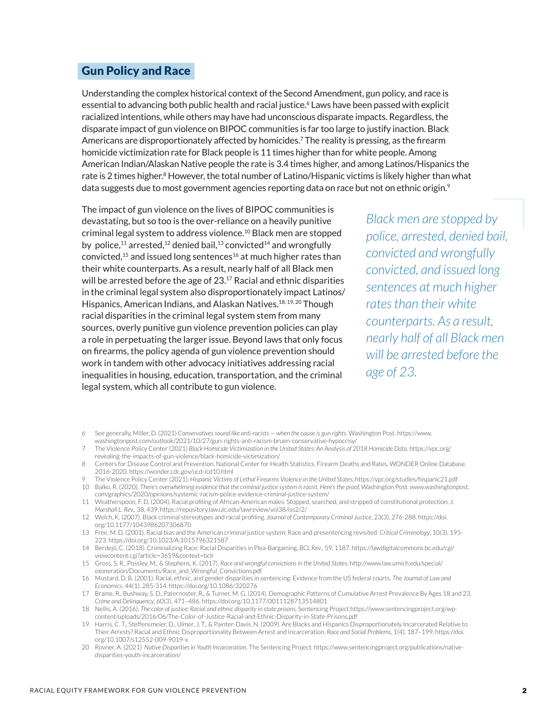#### Gun Policy and Race

Understanding the complex historical context of the Second Amendment, gun policy, and race is essential to advancing both public health and racial justice.<sup>6</sup> Laws have been passed with explicit racialized intentions, while others may have had unconscious disparate impacts. Regardless, the disparate impact of gun violence on BIPOC communities is far too large to justify inaction. Black Americans are disproportionately affected by homicides.7 The reality is pressing, as the firearm homicide victimization rate for Black people is 11 times higher than for white people. Among American Indian/Alaskan Native people the rate is 3.4 times higher, and among Latinos/Hispanics the rate is 2 times higher.<sup>8</sup> However, the total number of Latino/Hispanic victims is likely higher than what data suggests due to most government agencies reporting data on race but not on ethnic origin.<sup>9</sup>

The impact of gun violence on the lives of BIPOC communities is devastating, but so too is the over-reliance on a heavily punitive criminal legal system to address violence.10 Black men are stopped by police,<sup>11</sup> arrested,<sup>12</sup> denied bail,<sup>13</sup> convicted<sup>14</sup> and wrongfully convicted, $15$  and issued long sentences<sup>16</sup> at much higher rates than their white counterparts. As a result, nearly half of all Black men will be arrested before the age of 23.<sup>17</sup> Racial and ethnic disparities in the criminal legal system also disproportionately impact Latinos/ Hispanics, American Indians, and Alaskan Natives.<sup>18, 19, 20</sup> Though racial disparities in the criminal legal system stem from many sources, overly punitive gun violence prevention policies can play a role in perpetuating the larger issue. Beyond laws that only focus on firearms, the policy agenda of gun violence prevention should work in tandem with other advocacy initiatives addressing racial inequalities in housing, education, transportation, and the criminal legal system, which all contribute to gun violence.

*Black men are stopped by police, arrested, denied bail, convicted and wrongfully convicted, and issued long sentences at much higher rates than their white counterparts. As a result, nearly half of all Black men will be arrested before the age of 23.*

- 6 See generally, Miller, D. (2021) *Conservatives sound like anti-racists when the cause is gun rights.* Washington Post. [https://www.](https://www.washingtonpost.com/outlook/2021/10/27/gun-rights-anti-racism-bruen-conservative-hypocrisy/)
- [washingtonpost.com/outlook/2021/10/27/gun-rights-anti-racism-bruen-conservative-hypocrisy/](https://www.washingtonpost.com/outlook/2021/10/27/gun-rights-anti-racism-bruen-conservative-hypocrisy/)
- 7 The Violence Policy Center (2021) *Black Homicide Victimization in the United States: An Analysis of 2018 Homicide Data*. [https://vpc.org/](https://vpc.org/revealing-the-impacts-of-gun-violence/black-homicide-victimization/) [revealing-the-impacts-of-gun-violence/black-homicide-victimization/](https://vpc.org/revealing-the-impacts-of-gun-violence/black-homicide-victimization/)
- 8 Centers for Disease Control and Prevention. National Center for Health Statistics. Firearm Deaths and Rates. WONDER Online Database, 2016-2020. <https://wonder.cdc.gov/ucd-icd10.html>
- 9 The Violence Policy Center (2021). *Hispanic Victims of Lethal Firearms Violence in the United States.* <https://vpc.org/studies/hispanic21.pdf>
- 10 Balko, R. (2020). *There's overwhelming evidence that the criminal justice system is racist. Here's the proof.* Washington Post. [www.washingtonpost.](https://www.washingtonpost.com/graphics/2020/opinions/systemic-racism-police-evidence-criminal-justice-system/) [com/graphics/2020/opinions/systemic-racism-police-evidence-criminal-justice-system/](https://www.washingtonpost.com/graphics/2020/opinions/systemic-racism-police-evidence-criminal-justice-system/)
- 11 Weatherspoon, F. D. (2004). Racial profiling of African-American males: Stopped, searched, and stripped of constitutional protection. *J. Marshall L. Rev.,* 38, 439.<https://repository.law.uic.edu/lawreview/vol38/iss2/2/>
- 12 Welch, K. (2007). Black criminal stereotypes and racial profiling. *Journal of Contemporary Criminal Justice*, 23(3), 276-288. [https://doi.](https://doi.org/10.1177/1043986207306870) [org/10.1177/1043986207306870](https://doi.org/10.1177/1043986207306870)
- 13 Free, M. D. (2001). Racial bias and the American criminal justice system: Race and presentencing revisited. *Critical Criminology*, 10(3), 195- 223.<https://doi.org/10.1023/A:1015796321587>
- 14 Berdejó, C. (2018). Criminalizing Race: Racial Disparities in Plea-Bargaining. *BCL Rev*., 59, 1187. [https://lawdigitalcommons.bc.edu/cgi/](https://lawdigitalcommons.bc.edu/cgi/viewcontent.cgi?article=3659&context=bclr) [viewcontent.cgi?article=3659&context=bclr](https://lawdigitalcommons.bc.edu/cgi/viewcontent.cgi?article=3659&context=bclr)
- 15 Gross, S. R., Possley, M., & Stephens, K. (2017). *Race and wrongful convictions in the United States*. [http://www.law.umich.edu/special/](http://www.law.umich.edu/special/exoneration/Documents/Race_and_Wrongful_Convictions.pdf) [exoneration/Documents/Race\\_and\\_Wrongful\\_Convictions.pdf](http://www.law.umich.edu/special/exoneration/Documents/Race_and_Wrongful_Convictions.pdf)
- 16 Mustard, D. B. (2001). Racial, ethnic, and gender disparities in sentencing: Evidence from the US federal courts. *The Journal of Law and Economics*, 44(1), 285-314. <https://doi.org/10.1086/320276>
- 17 Brame, R., Bushway, S. D., Paternoster, R., & Turner, M. G. (2014). Demographic Patterns of Cumulative Arrest Prevalence By Ages 18 and 23. *Crime and Delinquency*, 60(3), 471–486.<https://doi.org/10.1177/0011128713514801>
- 18 Nellis, A. (2016). *The color of justice: Racial and ethnic disparity in state prisons.* Sentencing Project[.https://www.sentencingproject.org/wp](https://www.sentencingproject.org/wp-content/uploads/2016/06/The-Color-of-Justice-Racial-and-Ethnic-Disparity-in-State-Prisons.pdf)[content/uploads/2016/06/The-Color-of-Justice-Racial-and-Ethnic-Disparity-in-State-Prisons.pdf](https://www.sentencingproject.org/wp-content/uploads/2016/06/The-Color-of-Justice-Racial-and-Ethnic-Disparity-in-State-Prisons.pdf)
- 19 Harris, C. T., Steffensmeier, D., Ulmer, J. T., & Painter-Davis, N. (2009). Are Blacks and Hispanics Disproportionately Incarcerated Relative to Their Arrests? Racial and Ethnic Disproportionality Between Arrest and Incarceration. *Race and Social Problems*, 1(4), 187–199. [https://doi.](https://doi.org/10.1007/s12552-009-9019-x) [org/10.1007/s12552-009-9019-x](https://doi.org/10.1007/s12552-009-9019-x)
- 20 Rovner, A. (2021) *Native Disparities in Youth Incarceratio*n. The Sentencing Project. [https://www.sentencingproject.org/publications/native](https://www.sentencingproject.org/publications/native-disparities-youth-incarceration/)[disparities-youth-incarceration/](https://www.sentencingproject.org/publications/native-disparities-youth-incarceration/)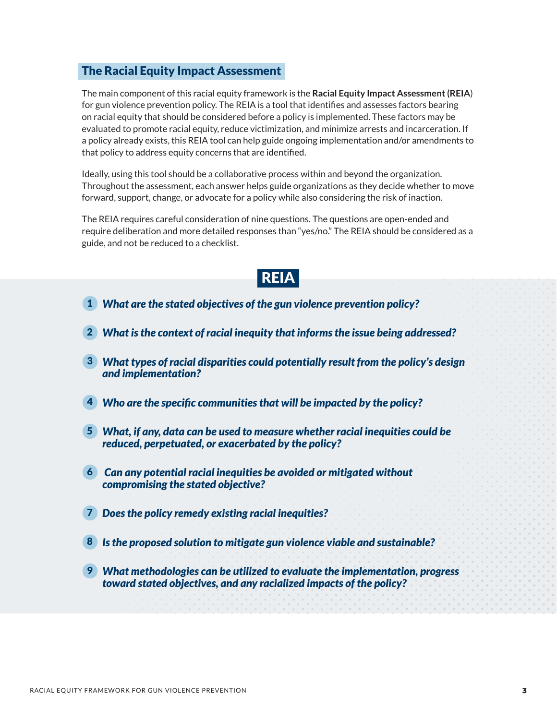### The Racial Equity Impact Assessment

The main component of this racial equity framework is the **Racial Equity Impact Assessment (REIA**) for gun violence prevention policy. The REIA is a tool that identifies and assesses factors bearing on racial equity that should be considered before a policy is implemented. These factors may be evaluated to promote racial equity, reduce victimization, and minimize arrests and incarceration. If a policy already exists, this REIA tool can help guide ongoing implementation and/or amendments to that policy to address equity concerns that are identified.

Ideally, using this tool should be a collaborative process within and beyond the organization. Throughout the assessment, each answer helps guide organizations as they decide whether to move forward, support, change, or advocate for a policy while also considering the risk of inaction.

The REIA requires careful consideration of nine questions. The questions are open-ended and require deliberation and more detailed responses than "yes/no." The REIA should be considered as a guide, and not be reduced to a checklist.

## REIA

- *What are the stated objectives of the gun violence prevention policy?* 1
- *What is the context of racial inequity that informs the issue being addressed?* 2
- *What types of racial disparities could potentially result from the policy's design*  3 *and implementation?*
- *Who are the specific communities that will be impacted by the policy?* 4
- *What, if any, data can be used to measure whether racial inequities could be*  5 *reduced, perpetuated, or exacerbated by the policy?*
- *Can any potential racial inequities be avoided or mitigated without*  6 *compromising the stated objective?*
- *Does the policy remedy existing racial inequities?* 7
- *Is the proposed solution to mitigate gun violence viable and sustainable?* 8
- *What methodologies can be utilized to evaluate the implementation, progress*  9*toward stated objectives, and any racialized impacts of the policy?*